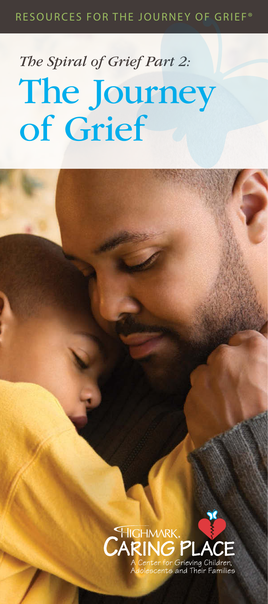# *The Spiral of Grief Part 2:*  The Journey of Grief

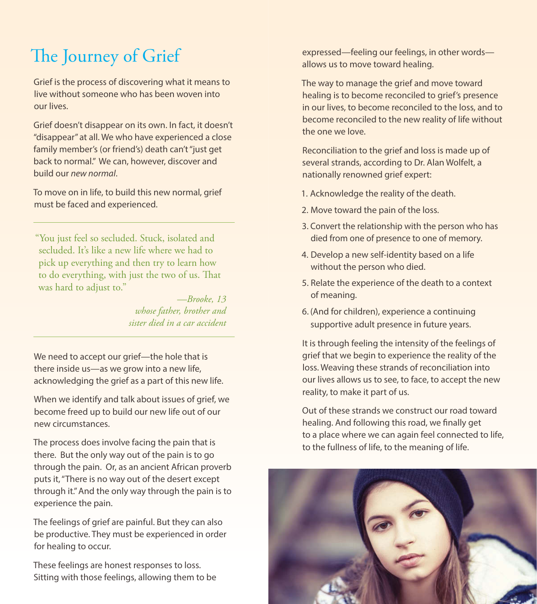## The Journey of Grief

Grief is the process of discovering what it means to live without someone who has been woven into our lives.

Grief doesn't disappear on its own. In fact, it doesn't "disappear" at all. We who have experienced a close family member's (or friend's) death can't "just get back to normal." We can, however, discover and build our *new normal*.

To move on in life, to build this new normal, grief must be faced and experienced.

"You just feel so secluded. Stuck, isolated and secluded. It's like a new life where we had to pick up everything and then try to learn how to do everything, with just the two of us. That was hard to adjust to."

*—Brooke, 13 whose father, brother and sister died in a car accident*

We need to accept our grief—the hole that is there inside us—as we grow into a new life, acknowledging the grief as a part of this new life.

When we identify and talk about issues of grief, we become freed up to build our new life out of our new circumstances.

The process does involve facing the pain that is there. But the only way out of the pain is to go through the pain. Or, as an ancient African proverb puts it, "There is no way out of the desert except through it." And the only way through the pain is to experience the pain.

The feelings of grief are painful. But they can also be productive. They must be experienced in order for healing to occur.

These feelings are honest responses to loss. Sitting with those feelings, allowing them to be expressed—feeling our feelings, in other words allows us to move toward healing.

The way to manage the grief and move toward healing is to become reconciled to grief's presence in our lives, to become reconciled to the loss, and to become reconciled to the new reality of life without the one we love.

Reconciliation to the grief and loss is made up of several strands, according to Dr. Alan Wolfelt, a nationally renowned grief expert:

- 1. Acknowledge the reality of the death.
- 2. Move toward the pain of the loss.
- 3. Convert the relationship with the person who has died from one of presence to one of memory.
- 4. Develop a new self-identity based on a life without the person who died.
- 5. Relate the experience of the death to a context of meaning.
- 6. (And for children), experience a continuing supportive adult presence in future years.

It is through feeling the intensity of the feelings of grief that we begin to experience the reality of the loss. Weaving these strands of reconciliation into our lives allows us to see, to face, to accept the new reality, to make it part of us.

Out of these strands we construct our road toward healing. And following this road, we finally get to a place where we can again feel connected to life, to the fullness of life, to the meaning of life.

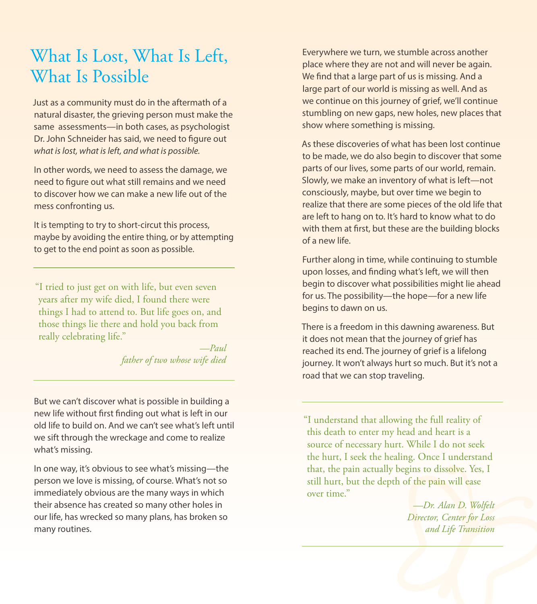### What Is Lost, What Is Left, What Is Possible

Just as a community must do in the aftermath of a natural disaster, the grieving person must make the same assessments—in both cases, as psychologist Dr. John Schneider has said, we need to figure out *what is lost, what is left, and what is possible.*

In other words, we need to assess the damage, we need to figure out what still remains and we need to discover how we can make a new life out of the mess confronting us.

It is tempting to try to short-circut this process, maybe by avoiding the entire thing, or by attempting to get to the end point as soon as possible.

"I tried to just get on with life, but even seven years after my wife died, I found there were things I had to attend to. But life goes on, and those things lie there and hold you back from really celebrating life."

> *—Paul father of two whose wife died*

But we can't discover what is possible in building a new life without first finding out what is left in our old life to build on. And we can't see what's left until we sift through the wreckage and come to realize what's missing.

In one way, it's obvious to see what's missing—the person we love is missing, of course. What's not so immediately obvious are the many ways in which their absence has created so many other holes in our life, has wrecked so many plans, has broken so many routines.

Everywhere we turn, we stumble across another place where they are not and will never be again. We find that a large part of us is missing. And a large part of our world is missing as well. And as we continue on this journey of grief, we'll continue stumbling on new gaps, new holes, new places that show where something is missing.

As these discoveries of what has been lost continue to be made, we do also begin to discover that some parts of our lives, some parts of our world, remain. Slowly, we make an inventory of what is left—not consciously, maybe, but over time we begin to realize that there are some pieces of the old life that are left to hang on to. It's hard to know what to do with them at first, but these are the building blocks of a new life.

Further along in time, while continuing to stumble upon losses, and finding what's left, we will then begin to discover what possibilities might lie ahead for us. The possibility—the hope—for a new life begins to dawn on us.

There is a freedom in this dawning awareness. But it does not mean that the journey of grief has reached its end. The journey of grief is a lifelong journey. It won't always hurt so much. But it's not a road that we can stop traveling.

"I understand that allowing the full reality of this death to enter my head and heart is a source of necessary hurt. While I do not seek the hurt, I seek the healing. Once I understand that, the pain actually begins to dissolve. Yes, I still hurt, but the depth of the pain will ease over time<sup>"</sup>

> *—Dr. Alan D. Wolfelt Director, Center for Loss and Life Transition*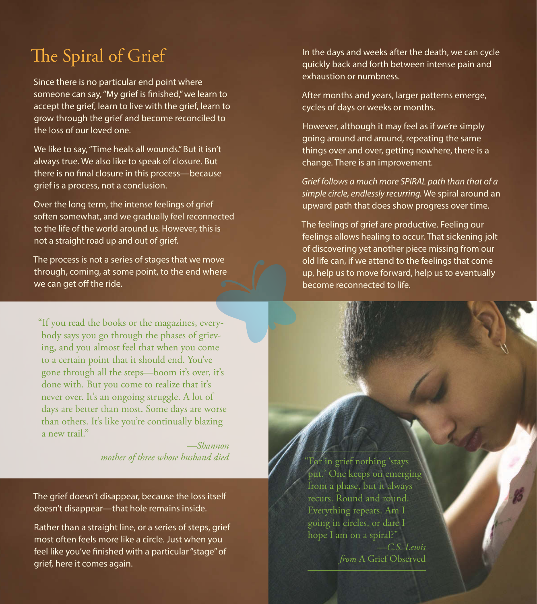### The Spiral of Grief

Since there is no particular end point where someone can say, "My grief is finished," we learn to accept the grief, learn to live with the grief, learn to grow through the grief and become reconciled to the loss of our loved one.

We like to say, "Time heals all wounds." But it isn't always true. We also like to speak of closure. But there is no final closure in this process—because grief is a process, not a conclusion.

Over the long term, the intense feelings of grief soften somewhat, and we gradually feel reconnected to the life of the world around us. However, this is not a straight road up and out of grief.

The process is not a series of stages that we move through, coming, at some point, to the end where we can get off the ride.

"If you read the books or the magazines, everybody says you go through the phases of grieving, and you almost feel that when you come to a certain point that it should end. You've gone through all the steps—boom it's over, it's done with. But you come to realize that it's never over. It's an ongoing struggle. A lot of days are better than most. Some days are worse than others. It's like you're continually blazing a new trail."

> *—Shannon mother of three whose husband died*

The grief doesn't disappear, because the loss itself doesn't disappear—that hole remains inside.

Rather than a straight line, or a series of steps, grief most often feels more like a circle. Just when you feel like you've finished with a particular "stage" of grief, here it comes again.

In the days and weeks after the death, we can cycle quickly back and forth between intense pain and exhaustion or numbness.

After months and years, larger patterns emerge, cycles of days or weeks or months.

However, although it may feel as if we're simply going around and around, repeating the same things over and over, getting nowhere, there is a change. There is an improvement.

*Grief follows a much more SPIRAL path than that of a simple circle, endlessly recurring.* We spiral around an upward path that does show progress over time.

The feelings of grief are productive. Feeling our feelings allows healing to occur. That sickening jolt of discovering yet another piece missing from our old life can, if we attend to the feelings that come up, help us to move forward, help us to eventually become reconnected to life.

For in grief nothing 'stays put.' One keeps on emerging from a phase, but it always recurs. Round and round. Everything repeats. Am I going in circles, or dare I hope I am on a spiral?"

> *—C.S. Lewis from* A Grief Observed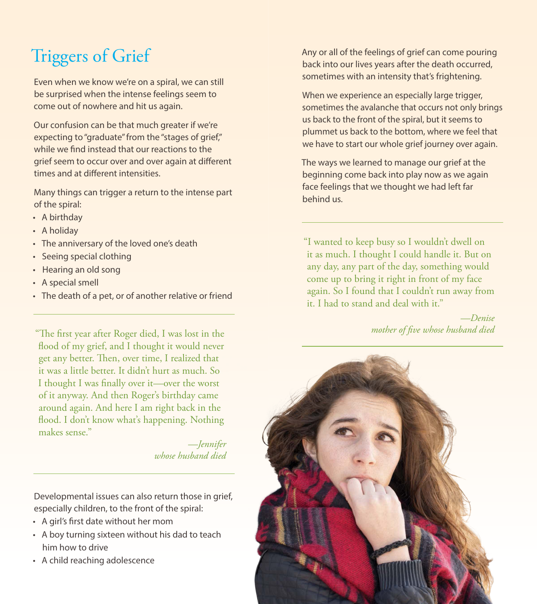# Triggers of Grief

Even when we know we're on a spiral, we can still be surprised when the intense feelings seem to come out of nowhere and hit us again.

Our confusion can be that much greater if we're expecting to "graduate" from the "stages of grief," while we find instead that our reactions to the grief seem to occur over and over again at different times and at different intensities.

Many things can trigger a return to the intense part of the spiral:

- A birthday
- A holiday
- The anniversary of the loved one's death
- Seeing special clothing
- Hearing an old song
- A special smell
- The death of a pet, or of another relative or friend

"The first year after Roger died, I was lost in the flood of my grief, and I thought it would never get any better. Then, over time, I realized that it was a little better. It didn't hurt as much. So I thought I was finally over it—over the worst of it anyway. And then Roger's birthday came around again. And here I am right back in the flood. I don't know what's happening. Nothing makes sense."

> *—Jennifer whose husband died*

Developmental issues can also return those in grief, especially children, to the front of the spiral:

- A girl's first date without her mom
- A boy turning sixteen without his dad to teach him how to drive
- A child reaching adolescence

Any or all of the feelings of grief can come pouring back into our lives years after the death occurred, sometimes with an intensity that's frightening.

When we experience an especially large trigger, sometimes the avalanche that occurs not only brings us back to the front of the spiral, but it seems to plummet us back to the bottom, where we feel that we have to start our whole grief journey over again.

The ways we learned to manage our grief at the beginning come back into play now as we again face feelings that we thought we had left far behind us.

"I wanted to keep busy so I wouldn't dwell on it as much. I thought I could handle it. But on any day, any part of the day, something would come up to bring it right in front of my face again. So I found that I couldn't run away from it. I had to stand and deal with it."

> *—Denise mother of five whose husband died*

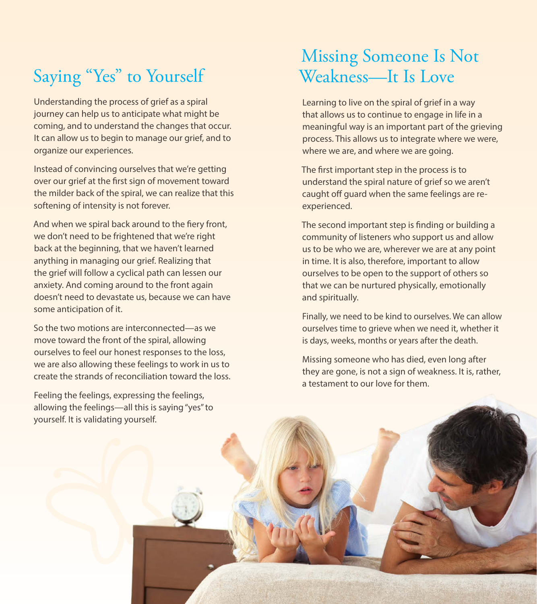### Saying "Yes" to Yourself

Understanding the process of grief as a spiral journey can help us to anticipate what might be coming, and to understand the changes that occur. It can allow us to begin to manage our grief, and to organize our experiences.

Instead of convincing ourselves that we're getting over our grief at the first sign of movement toward the milder back of the spiral, we can realize that this softening of intensity is not forever.

And when we spiral back around to the fiery front, we don't need to be frightened that we're right back at the beginning, that we haven't learned anything in managing our grief. Realizing that the grief will follow a cyclical path can lessen our anxiety. And coming around to the front again doesn't need to devastate us, because we can have some anticipation of it.

So the two motions are interconnected—as we move toward the front of the spiral, allowing ourselves to feel our honest responses to the loss, we are also allowing these feelings to work in us to create the strands of reconciliation toward the loss.

Feeling the feelings, expressing the feelings, allowing the feelings—all this is saying "yes" to yourself. It is validating yourself.

### Missing Someone Is Not Weakness—It Is Love

Learning to live on the spiral of grief in a way that allows us to continue to engage in life in a meaningful way is an important part of the grieving process. This allows us to integrate where we were, where we are, and where we are going.

The first important step in the process is to understand the spiral nature of grief so we aren't caught off guard when the same feelings are reexperienced.

The second important step is finding or building a community of listeners who support us and allow us to be who we are, wherever we are at any point in time. It is also, therefore, important to allow ourselves to be open to the support of others so that we can be nurtured physically, emotionally and spiritually.

Finally, we need to be kind to ourselves. We can allow ourselves time to grieve when we need it, whether it is days, weeks, months or years after the death.

Missing someone who has died, even long after they are gone, is not a sign of weakness. It is, rather, a testament to our love for them.